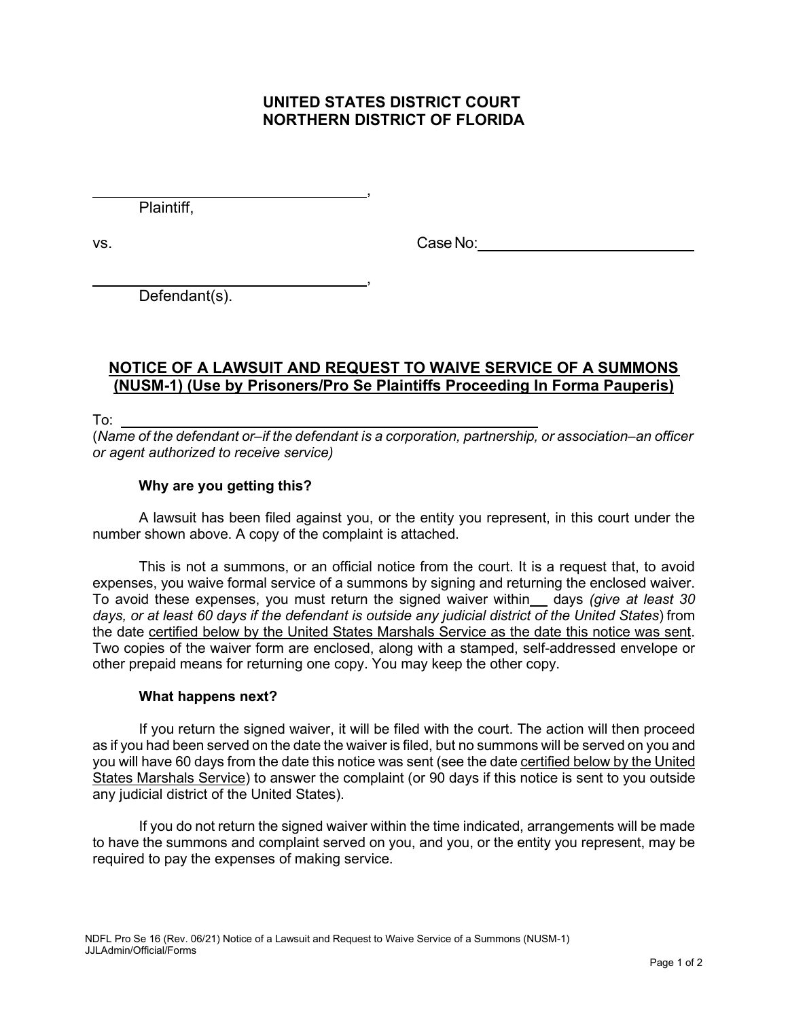# **UNITED STATES DISTRICT COURT NORTHERN DISTRICT OF FLORIDA**

,

,

Plaintiff,

vs. Case No:

Defendant(s).

# **NOTICE OF A LAWSUIT AND REQUEST TO WAIVE SERVICE OF A SUMMONS (NUSM-1) (Use by Prisoners/Pro Se Plaintiffs Proceeding In Forma Pauperis)**

To:

(*Name of the defendant or–if the defendant is a corporation, partnership, or association–an officer or agent authorized to receive service)*

### **Why are you getting this?**

A lawsuit has been filed against you, or the entity you represent, in this court under the number shown above. A copy of the complaint is attached.

This is not a summons, or an official notice from the court. It is a request that, to avoid expenses, you waive formal service of a summons by signing and returning the enclosed waiver. To avoid these expenses, you must return the signed waiver within days *(give at least 30 days, or at least 60 days if the defendant is outside any judicial district of the United States*) from the date certified below by the United States Marshals Service as the date this notice was sent. Two copies of the waiver form are enclosed, along with a stamped, self-addressed envelope or other prepaid means for returning one copy. You may keep the other copy.

#### **What happens next?**

If you return the signed waiver, it will be filed with the court. The action will then proceed as if you had been served on the date the waiver is filed, but no summons will be served on you and you will have 60 days from the date this notice was sent (see the date certified below by the United States Marshals Service) to answer the complaint (or 90 days if this notice is sent to you outside any judicial district of the United States).

If you do not return the signed waiver within the time indicated, arrangements will be made to have the summons and complaint served on you, and you, or the entity you represent, may be required to pay the expenses of making service.